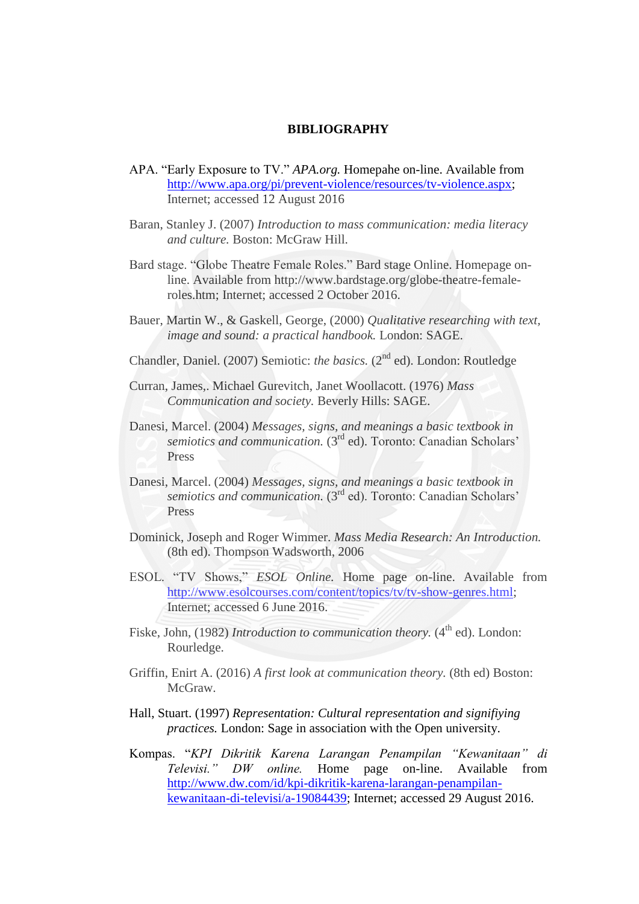## **BIBLIOGRAPHY**

- APA. "Early Exposure to TV." *APA.org.* Homepahe on-line. Available from [http://www.apa.org/pi/prevent-violence/resources/tv-violence.aspx;](http://www.apa.org/pi/prevent-violence/resources/tv-violence.aspx) Internet; accessed 12 August 2016
- Baran, Stanley J. (2007) *Introduction to mass communication: media literacy and culture.* Boston: McGraw Hill.
- Bard stage. "Globe Theatre Female Roles." Bard stage Online. Homepage online. Available from http://www.bardstage.org/globe-theatre-femaleroles.htm; Internet; accessed 2 October 2016.
- Bauer, Martin W., & Gaskell, George, (2000) *Qualitative researching with text, image and sound: a practical handbook.* London: SAGE.
- Chandler, Daniel. (2007) Semiotic: *the basics*. (2<sup>nd</sup> ed). London: Routledge
- Curran, James,. Michael Gurevitch, Janet Woollacott. (1976) *Mass Communication and society.* Beverly Hills: SAGE.
- Danesi, Marcel. (2004) *Messages, signs, and meanings a basic textbook in*  semiotics and communication. (3<sup>rd</sup> ed). Toronto: Canadian Scholars' Press
- Danesi, Marcel. (2004) *Messages, signs, and meanings a basic textbook in semiotics and communication.* (3<sup>rd</sup> ed). Toronto: Canadian Scholars' Press
- Dominick, Joseph and Roger Wimmer. *Mass Media Research: An Introduction.*  (8th ed). Thompson Wadsworth, 2006
- ESOL. "TV Shows," *ESOL Online.* Home page on-line. Available from [http://www.esolcourses.com/content/topics/tv/tv-show-genres.html;](http://www.esolcourses.com/content/topics/tv/tv-show-genres.html) Internet; accessed 6 June 2016.
- Fiske, John, (1982) *Introduction to communication theory*. (4<sup>th</sup> ed). London: Rourledge.
- Griffin, Enirt A. (2016) *A first look at communication theory.* (8th ed) Boston: McGraw.
- Hall, Stuart. (1997) *Representation: Cultural representation and signifiying practices.* London: Sage in association with the Open university.
- Kompas. "*KPI Dikritik Karena Larangan Penampilan "Kewanitaan" di Televisi." DW online.* Home page on-line. Available from [http://www.dw.com/id/kpi-dikritik-karena-larangan-penampilan](http://www.dw.com/id/kpi-dikritik-karena-larangan-penampilan-kewanitaan-di-televisi/a-19084439)[kewanitaan-di-televisi/a-19084439;](http://www.dw.com/id/kpi-dikritik-karena-larangan-penampilan-kewanitaan-di-televisi/a-19084439) Internet; accessed 29 August 2016.